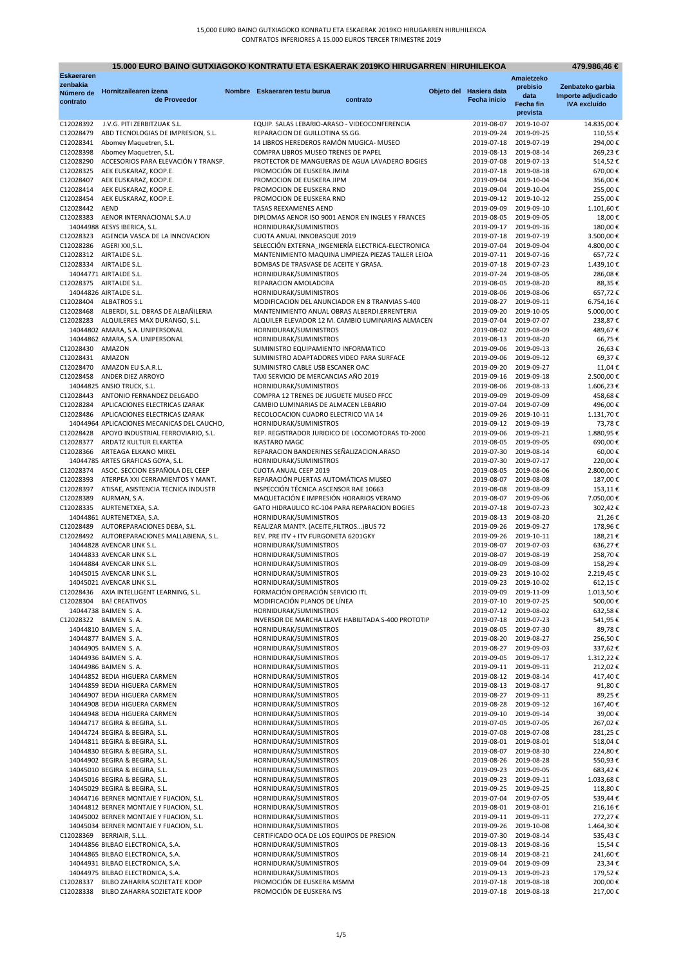# **15.000 EURO BAINO GUTXIAGOKO KONTRATU ETA ESKAERAK 2019KO HIRUGARREN HIRUHILEKOA**

| 15.000 EURO BAINO GUTXIAGOKO KONTRATU ETA ESKAERAK 2019KO HIRUGARREN HIRUHILEKOA<br>479.986,46 € |                                                                                      |  |                                                                              |  |                          |                                                |                                        |  |
|--------------------------------------------------------------------------------------------------|--------------------------------------------------------------------------------------|--|------------------------------------------------------------------------------|--|--------------------------|------------------------------------------------|----------------------------------------|--|
| <b>Eskaeraren</b><br>zenbakia                                                                    |                                                                                      |  |                                                                              |  |                          | Amaietzeko                                     |                                        |  |
| Número de                                                                                        | Hornitzailearen izena                                                                |  | Nombre Eskaeraren testu burua                                                |  | Objeto del Hasiera data  | prebisio<br>data                               | Zenbateko garbia<br>Importe adjudicado |  |
| contrato                                                                                         | de Proveedor                                                                         |  | contrato                                                                     |  | <b>Fecha inicio</b>      | Fecha fin                                      | <b>IVA</b> excluído                    |  |
|                                                                                                  |                                                                                      |  |                                                                              |  |                          | prevista                                       |                                        |  |
| C12028392                                                                                        | J.V.G. PITI ZERBITZUAK S.L.                                                          |  | EQUIP. SALAS LEBARIO-ARASO - VIDEOCONFERENCIA                                |  | 2019-08-07               | 2019-10-07                                     | 14.835,00€                             |  |
| C12028479<br>C12028341                                                                           | ABD TECNOLOGIAS DE IMPRESION, S.L.<br>Abomey Maquetren, S.L.                         |  | REPARACION DE GUILLOTINA SS.GG.<br>14 LIBROS HEREDEROS RAMÓN MUGICA- MUSEO   |  | 2019-09-24<br>2019-07-18 | 2019-09-25<br>2019-07-19                       | 110,55€<br>294,00€                     |  |
| C12028398                                                                                        | Abomey Maquetren, S.L.                                                               |  | COMPRA LIBROS MUSEO TRENES DE PAPEL                                          |  | 2019-08-13               | 2019-08-14                                     | 269,23€                                |  |
| C12028290                                                                                        | ACCESORIOS PARA ELEVACIÓN Y TRANSP.                                                  |  | PROTECTOR DE MANGUERAS DE AGUA LAVADERO BOGIES                               |  | 2019-07-08               | 2019-07-13                                     | 514,52€                                |  |
| C12028325                                                                                        | AEK EUSKARAZ, KOOP.E.                                                                |  | PROMOCIÓN DE EUSKERA JMIM                                                    |  | 2019-07-18               | 2019-08-18                                     | 670,00€                                |  |
| C12028407                                                                                        | AEK EUSKARAZ, KOOP.E.                                                                |  | PROMOCION DE EUSKERA JIPM                                                    |  | 2019-09-04               | 2019-10-04                                     | 356,00€                                |  |
| C12028414                                                                                        | AEK EUSKARAZ, KOOP.E.                                                                |  | PROMOCION DE EUSKERA RND                                                     |  | 2019-09-04               | 2019-10-04                                     | 255,00€                                |  |
| C12028454<br>C12028442                                                                           | AEK EUSKARAZ, KOOP.E.<br>AEND                                                        |  | PROMOCION DE EUSKERA RND<br><b>TASAS REEXAMENES AEND</b>                     |  | 2019-09-12<br>2019-09-09 | 2019-10-12<br>2019-09-10                       | 255,00€<br>1.101,60€                   |  |
| C12028383                                                                                        | AENOR INTERNACIONAL S.A.U                                                            |  | DIPLOMAS AENOR ISO 9001 AENOR EN INGLES Y FRANCES                            |  | 2019-08-05               | 2019-09-05                                     | 18,00€                                 |  |
|                                                                                                  | 14044988 AESYS IBERICA, S.L.                                                         |  | HORNIDURAK/SUMINISTROS                                                       |  | 2019-09-17               | 2019-09-16                                     | 180,00€                                |  |
|                                                                                                  | C12028323 AGENCIA VASCA DE LA INNOVACION                                             |  | CUOTA ANUAL INNOBASQUE 2019                                                  |  | 2019-07-18               | 2019-07-19                                     | 3.500,00€                              |  |
| C12028286                                                                                        | AGERI XXI,S.L.                                                                       |  | SELECCIÓN EXTERNA INGENIERÍA ELECTRICA-ELECTRONICA                           |  | 2019-07-04               | 2019-09-04                                     | 4.800,00€                              |  |
|                                                                                                  | C12028312 AIRTALDE S.L.                                                              |  | MANTENIMIENTO MAQUINA LIMPIEZA PIEZAS TALLER LEIOA                           |  |                          | 2019-07-11 2019-07-16                          | 657,72€                                |  |
| C12028334                                                                                        | AIRTALDE S.L.<br>14044771 AIRTALDE S.L.                                              |  | BOMBAS DE TRASVASE DE ACEITE Y GRASA.<br>HORNIDURAK/SUMINISTROS              |  | 2019-07-18<br>2019-07-24 | 2019-07-23<br>2019-08-05                       | 1.439,10€<br>286,08€                   |  |
|                                                                                                  | C12028375 AIRTALDE S.L.                                                              |  | REPARACION AMOLADORA                                                         |  |                          | 2019-08-05 2019-08-20                          | 88,35€                                 |  |
|                                                                                                  | 14044826 AIRTALDE S.L.                                                               |  | HORNIDURAK/SUMINISTROS                                                       |  |                          | 2019-08-06 2019-08-06                          | 657,72€                                |  |
|                                                                                                  | C12028404 ALBATROS S.L                                                               |  | MODIFICACION DEL ANUNCIADOR EN 8 TRANVIAS S-400                              |  |                          | 2019-08-27 2019-09-11                          | 6.754,16€                              |  |
| C12028468                                                                                        | ALBERDI, S.L. OBRAS DE ALBAÑILERIA                                                   |  | MANTENIMIENTO ANUAL OBRAS ALBERDI.ERRENTERIA                                 |  |                          | 2019-09-20 2019-10-05                          | 5.000,00 €                             |  |
|                                                                                                  | C12028283 ALQUILERES MAX DURANGO, S.L.                                               |  | ALQUILER ELEVADOR 12 M. CAMBIO LUMINARIAS ALMACEN                            |  | 2019-07-04               | 2019-07-07                                     | 238,87€                                |  |
|                                                                                                  | 14044802 AMARA, S.A. UNIPERSONAL<br>14044862 AMARA, S.A. UNIPERSONAL                 |  | HORNIDURAK/SUMINISTROS<br>HORNIDURAK/SUMINISTROS                             |  | 2019-08-02               | 2019-08-09<br>2019-08-13 2019-08-20            | 489,67€<br>66,75€                      |  |
| C12028430                                                                                        | AMAZON                                                                               |  | SUMINISTRO EQUIPAMIENTO INFORMATICO                                          |  |                          | 2019-09-06 2019-09-13                          | 26,63€                                 |  |
| C12028431 AMAZON                                                                                 |                                                                                      |  | SUMINISTRO ADAPTADORES VIDEO PARA SURFACE                                    |  | 2019-09-06               | 2019-09-12                                     | 69,37€                                 |  |
| C12028470                                                                                        | AMAZON EU S.A.R.L.                                                                   |  | SUMINISTRO CABLE USB ESCANER OAC                                             |  | 2019-09-20               | 2019-09-27                                     | 11,04€                                 |  |
| C12028458                                                                                        | ANDER DIEZ ARROYO                                                                    |  | TAXI SERVICIO DE MERCANCIAS AÑO 2019                                         |  |                          | 2019-09-16 2019-09-18                          | 2.500,00€                              |  |
|                                                                                                  | 14044825 ANSIO TRUCK, S.L.                                                           |  | HORNIDURAK/SUMINISTROS                                                       |  |                          | 2019-08-06 2019-08-13                          | 1.606,23€                              |  |
| C12028443                                                                                        | ANTONIO FERNANDEZ DELGADO                                                            |  | COMPRA 12 TRENES DE JUGUETE MUSEO FFCC                                       |  | 2019-09-09               | 2019-09-09                                     | 458,68€                                |  |
| C12028284<br>C12028486                                                                           | APLICACIONES ELECTRICAS IZARAK<br>APLICACIONES ELECTRICAS IZARAK                     |  | CAMBIO LUMINARIAS DE ALMACEN LEBARIO<br>RECOLOCACION CUADRO ELECTRICO VIA 14 |  | 2019-07-04               | 2019-07-09<br>2019-09-26 2019-10-11            | 496,00€<br>1.131,70€                   |  |
|                                                                                                  | 14044964 APLICACIONES MECANICAS DEL CAUCHO,                                          |  | HORNIDURAK/SUMINISTROS                                                       |  |                          | 2019-09-12 2019-09-19                          | 73,78€                                 |  |
|                                                                                                  | C12028428 APOYO INDUSTRIAL FERROVIARIO, S.L.                                         |  | REP. REGISTRADOR JURIDICO DE LOCOMOTORAS TD-2000                             |  | 2019-09-06               | 2019-09-21                                     | 1.880,95€                              |  |
|                                                                                                  | C12028377 ARDATZ KULTUR ELKARTEA                                                     |  | <b>IKASTARO MAGC</b>                                                         |  |                          | 2019-08-05 2019-09-05                          | 690,00€                                |  |
|                                                                                                  | C12028366 ARTEAGA ELKANO MIKEL                                                       |  | REPARACION BANDERINES SEÑALIZACION.ARASO                                     |  |                          | 2019-07-30 2019-08-14                          | 60,00€                                 |  |
|                                                                                                  | 14044785 ARTES GRAFICAS GOYA, S.L.                                                   |  | HORNIDURAK/SUMINISTROS                                                       |  | 2019-07-30               | 2019-07-17                                     | 220,00€                                |  |
| C12028393                                                                                        | C12028374 ASOC. SECCION ESPAÑOLA DEL CEEP<br>ATERPEA XXI CERRAMIENTOS Y MANT.        |  | CUOTA ANUAL CEEP 2019<br>REPARACIÓN PUERTAS AUTOMÁTICAS MUSEO                |  | 2019-08-05<br>2019-08-07 | 2019-08-06<br>2019-08-08                       | 2.800,00€<br>187,00€                   |  |
| C12028397                                                                                        | ATISAE, ASISTENCIA TECNICA INDUSTR                                                   |  | INSPECCIÓN TÉCNICA ASCENSOR RAE 10663                                        |  |                          | 2019-08-08 2019-08-09                          | 153,11€                                |  |
| C12028389                                                                                        | AURMAN, S.A.                                                                         |  | MAQUETACIÓN E IMPRESIÓN HORARIOS VERANO                                      |  | 2019-08-07               | 2019-09-06                                     | 7.050,00€                              |  |
|                                                                                                  | C12028335 AURTENETXEA, S.A.                                                          |  | GATO HIDRAULICO RC-104 PARA REPARACION BOGIES                                |  |                          | 2019-07-18 2019-07-23                          | 302,42€                                |  |
|                                                                                                  | 14044861 AURTENETXEA, S.A.                                                           |  | HORNIDURAK/SUMINISTROS                                                       |  | 2019-08-13               | 2019-08-20                                     | 21,26€                                 |  |
| C12028489                                                                                        | AUTOREPARACIONES DEBA, S.L.                                                          |  | REALIZAR MANTº. (ACEITE, FILTROS) BUS 72                                     |  | 2019-09-26               | 2019-09-27                                     | 178,96€                                |  |
|                                                                                                  | C12028492 AUTOREPARACIONES MALLABIENA, S.L.<br>14044828 AVENCAR LINK S.L.            |  | REV. PRE ITV + ITV FURGONETA 6201GKY<br>HORNIDURAK/SUMINISTROS               |  | 2019-09-26<br>2019-08-07 | 2019-10-11<br>2019-07-03                       | 188,21€<br>636,27€                     |  |
|                                                                                                  | 14044833 AVENCAR LINK S.L.                                                           |  | HORNIDURAK/SUMINISTROS                                                       |  | 2019-08-07               | 2019-08-19                                     | 258,70€                                |  |
|                                                                                                  | 14044884 AVENCAR LINK S.L.                                                           |  | HORNIDURAK/SUMINISTROS                                                       |  | 2019-08-09               | 2019-08-09                                     | 158,29€                                |  |
|                                                                                                  | 14045015 AVENCAR LINK S.L.                                                           |  | HORNIDURAK/SUMINISTROS                                                       |  |                          | 2019-09-23 2019-10-02                          | 2.219,45€                              |  |
|                                                                                                  | 14045021 AVENCAR LINK S.L.                                                           |  | HORNIDURAK/SUMINISTROS                                                       |  |                          | 2019-09-23 2019-10-02                          | 612,15€                                |  |
|                                                                                                  | C12028436 AXIA INTELLIGENT LEARNING, S.L.                                            |  | FORMACIÓN OPERACIÓN SERVICIO ITL                                             |  | 2019-09-09               | 2019-11-09                                     | 1.013,50€                              |  |
|                                                                                                  | C12028304 BA! CREATIVOS<br>14044738 BAIMEN S.A.                                      |  | MODIFICACIÓN PLANOS DE LÍNEA<br>HORNIDURAK/SUMINISTROS                       |  |                          | 2019-07-10 2019-07-25<br>2019-07-12 2019-08-02 | 500,00€<br>632,58€                     |  |
|                                                                                                  | C12028322 BAIMEN S.A.                                                                |  | INVERSOR DE MARCHA LLAVE HABILITADA S-400 PROTOTIP                           |  |                          | 2019-07-18 2019-07-23                          | 541,95€                                |  |
|                                                                                                  | 14044810 BAIMEN S.A.                                                                 |  | HORNIDURAK/SUMINISTROS                                                       |  | 2019-08-05               | 2019-07-30                                     | 89,78€                                 |  |
|                                                                                                  | 14044877 BAIMEN S.A.                                                                 |  | HORNIDURAK/SUMINISTROS                                                       |  | 2019-08-20               | 2019-08-27                                     | 256,50€                                |  |
|                                                                                                  | 14044905 BAIMEN S.A.                                                                 |  | HORNIDURAK/SUMINISTROS                                                       |  | 2019-08-27               | 2019-09-03                                     | 337,62€                                |  |
|                                                                                                  | 14044936 BAIMEN S.A.                                                                 |  | HORNIDURAK/SUMINISTROS<br>HORNIDURAK/SUMINISTROS                             |  | 2019-09-05               | 2019-09-17                                     | 1.312,22€                              |  |
|                                                                                                  | 14044986 BAIMEN S.A.<br>14044852 BEDIA HIGUERA CARMEN                                |  | HORNIDURAK/SUMINISTROS                                                       |  | 2019-09-11<br>2019-08-12 | 2019-09-11<br>2019-08-14                       | 212,02€<br>417,40€                     |  |
|                                                                                                  | 14044859 BEDIA HIGUERA CARMEN                                                        |  | HORNIDURAK/SUMINISTROS                                                       |  | 2019-08-13               | 2019-08-17                                     | 91,80€                                 |  |
|                                                                                                  | 14044907 BEDIA HIGUERA CARMEN                                                        |  | HORNIDURAK/SUMINISTROS                                                       |  | 2019-08-27               | 2019-09-11                                     | 89,25€                                 |  |
|                                                                                                  | 14044908 BEDIA HIGUERA CARMEN                                                        |  | HORNIDURAK/SUMINISTROS                                                       |  | 2019-08-28               | 2019-09-12                                     | 167,40€                                |  |
|                                                                                                  | 14044948 BEDIA HIGUERA CARMEN                                                        |  | HORNIDURAK/SUMINISTROS                                                       |  | 2019-09-10               | 2019-09-14                                     | 39,00€                                 |  |
|                                                                                                  | 14044717 BEGIRA & BEGIRA, S.L.                                                       |  | HORNIDURAK/SUMINISTROS                                                       |  | 2019-07-05               | 2019-07-05                                     | 267,02€                                |  |
|                                                                                                  | 14044724 BEGIRA & BEGIRA, S.L.<br>14044811 BEGIRA & BEGIRA, S.L.                     |  | HORNIDURAK/SUMINISTROS<br>HORNIDURAK/SUMINISTROS                             |  | 2019-07-08<br>2019-08-01 | 2019-07-08<br>2019-08-01                       | 281,25€<br>518,04€                     |  |
|                                                                                                  | 14044830 BEGIRA & BEGIRA, S.L.                                                       |  | HORNIDURAK/SUMINISTROS                                                       |  | 2019-08-07               | 2019-08-30                                     | 224,80€                                |  |
|                                                                                                  | 14044902 BEGIRA & BEGIRA, S.L.                                                       |  | HORNIDURAK/SUMINISTROS                                                       |  | 2019-08-26               | 2019-08-28                                     | 550,93€                                |  |
|                                                                                                  | 14045010 BEGIRA & BEGIRA, S.L.                                                       |  | HORNIDURAK/SUMINISTROS                                                       |  | 2019-09-23               | 2019-09-05                                     | 683,42€                                |  |
|                                                                                                  | 14045016 BEGIRA & BEGIRA, S.L.                                                       |  | HORNIDURAK/SUMINISTROS                                                       |  | 2019-09-23               | 2019-09-11                                     | 1.033,68€                              |  |
|                                                                                                  | 14045029 BEGIRA & BEGIRA, S.L.                                                       |  | HORNIDURAK/SUMINISTROS                                                       |  | 2019-09-25               | 2019-09-25                                     | 118,80€                                |  |
|                                                                                                  | 14044716 BERNER MONTAJE Y FIJACION, S.L.<br>14044812 BERNER MONTAJE Y FIJACION, S.L. |  | HORNIDURAK/SUMINISTROS<br>HORNIDURAK/SUMINISTROS                             |  | 2019-07-04<br>2019-08-01 | 2019-07-05<br>2019-08-01                       | 539,44€<br>216,16€                     |  |
|                                                                                                  | 14045002 BERNER MONTAJE Y FIJACION, S.L.                                             |  | HORNIDURAK/SUMINISTROS                                                       |  | 2019-09-11               | 2019-09-11                                     | 272,27€                                |  |
|                                                                                                  | 14045034 BERNER MONTAJE Y FIJACION, S.L.                                             |  | HORNIDURAK/SUMINISTROS                                                       |  | 2019-09-26               | 2019-10-08                                     | 1.464,30€                              |  |
|                                                                                                  | C12028369 BERRIAIR, S.L.L.                                                           |  | CERTIFICADO OCA DE LOS EQUIPOS DE PRESION                                    |  | 2019-07-30               | 2019-08-14                                     | 535,43€                                |  |
|                                                                                                  | 14044856 BILBAO ELECTRONICA, S.A.                                                    |  | HORNIDURAK/SUMINISTROS                                                       |  | 2019-08-13               | 2019-08-16                                     | 15,54€                                 |  |
|                                                                                                  | 14044865 BILBAO ELECTRONICA, S.A.                                                    |  | HORNIDURAK/SUMINISTROS                                                       |  | 2019-08-14               | 2019-08-21                                     | 241,60€                                |  |
|                                                                                                  | 14044931 BILBAO ELECTRONICA, S.A.<br>14044975 BILBAO ELECTRONICA, S.A.               |  | HORNIDURAK/SUMINISTROS<br>HORNIDURAK/SUMINISTROS                             |  | 2019-09-04<br>2019-09-13 | 2019-09-09<br>2019-09-23                       | 23,34€<br>179,52€                      |  |
|                                                                                                  | C12028337 BILBO ZAHARRA SOZIETATE KOOP                                               |  | PROMOCIÓN DE EUSKERA MSMM                                                    |  | 2019-07-18               | 2019-08-18                                     | 200,00€                                |  |
| C12028338                                                                                        | BILBO ZAHARRA SOZIETATE KOOP                                                         |  | PROMOCIÓN DE EUSKERA IVS                                                     |  | 2019-07-18               | 2019-08-18                                     | 217,00€                                |  |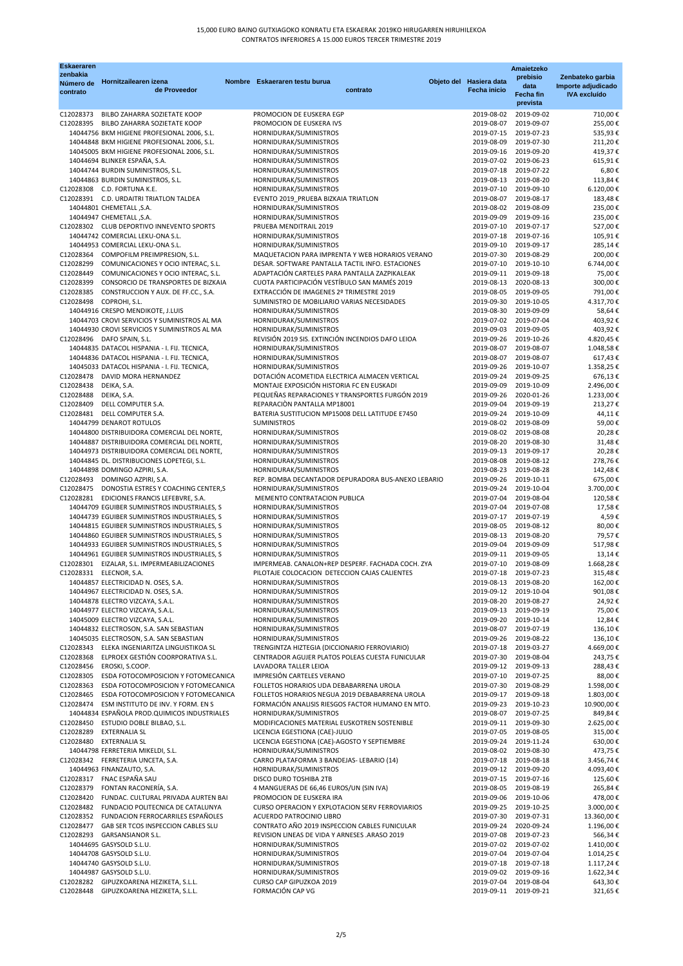| <b>Eskaeraren</b>     |                                                                                              |               |                                                                           |          |                          | Amaietzeko               |                      |
|-----------------------|----------------------------------------------------------------------------------------------|---------------|---------------------------------------------------------------------------|----------|--------------------------|--------------------------|----------------------|
| zenbakia              | Hornitzailearen izena                                                                        | <b>Nombre</b> | Eskaeraren testu burua                                                    |          | Objeto del Hasiera data  | prebisio                 | Zenbateko garbia     |
| Número de<br>contrato | de Proveedor                                                                                 |               |                                                                           | contrato | Fecha inicio             | data                     | Importe adjudicado   |
|                       |                                                                                              |               |                                                                           |          |                          | <b>Fecha fin</b>         | <b>IVA</b> excluído  |
|                       |                                                                                              |               |                                                                           |          |                          | prevista                 |                      |
| C12028373             | BILBO ZAHARRA SOZIETATE KOOP                                                                 |               | PROMOCION DE EUSKERA EGP                                                  |          | 2019-08-02               | 2019-09-02               | 710,00€              |
| C12028395             | BILBO ZAHARRA SOZIETATE KOOP                                                                 |               | PROMOCION DE EUSKERA IVS                                                  |          | 2019-08-07               | 2019-09-07               | 255,00€              |
|                       | 14044756 BKM HIGIENE PROFESIONAL 2006, S.L.                                                  |               | HORNIDURAK/SUMINISTROS                                                    |          | 2019-07-15               | 2019-07-23               | 535,93€              |
|                       | 14044848 BKM HIGIENE PROFESIONAL 2006, S.L.                                                  |               | HORNIDURAK/SUMINISTROS                                                    |          | 2019-08-09               | 2019-07-30               | 211,20€              |
|                       | 14045005 BKM HIGIENE PROFESIONAL 2006, S.L.                                                  |               | HORNIDURAK/SUMINISTROS                                                    |          | 2019-09-16               | 2019-09-20               | 419,37€              |
|                       | 14044694 BLINKER ESPAÑA, S.A.                                                                |               | HORNIDURAK/SUMINISTROS                                                    |          | 2019-07-02               | 2019-06-23               | 615,91€              |
|                       | 14044744 BURDIN SUMINISTROS, S.L.                                                            |               | HORNIDURAK/SUMINISTROS                                                    |          | 2019-07-18               | 2019-07-22               | 6,80€                |
|                       | 14044863 BURDIN SUMINISTROS, S.L.                                                            |               | HORNIDURAK/SUMINISTROS                                                    |          | 2019-08-13               | 2019-08-20               | 113,84€              |
|                       | C12028308 C.D. FORTUNA K.E.                                                                  |               | HORNIDURAK/SUMINISTROS                                                    |          | 2019-07-10               | 2019-09-10               | 6.120,00€            |
|                       | C12028391 C.D. URDAITRI TRIATLON TALDEA                                                      |               | EVENTO 2019_PRUEBA BIZKAIA TRIATLON                                       |          | 2019-08-07               | 2019-08-17               | 183,48€              |
|                       | 14044801 CHEMETALL, S.A.                                                                     |               | HORNIDURAK/SUMINISTROS                                                    |          | 2019-08-02               | 2019-08-09               | 235,00€              |
|                       | 14044947 CHEMETALL , S.A.                                                                    |               | HORNIDURAK/SUMINISTROS                                                    |          | 2019-09-09               | 2019-09-16               | 235,00€              |
|                       | C12028302 CLUB DEPORTIVO INNEVENTO SPORTS                                                    |               | PRUEBA MENDITRAIL 2019                                                    |          | 2019-07-10               | 2019-07-17               | 527,00€              |
|                       | 14044742 COMERCIAL LEKU-ONA S.L.                                                             |               | HORNIDURAK/SUMINISTROS                                                    |          | 2019-07-18<br>2019-09-10 | 2019-07-16               | 105,91€              |
|                       | 14044953 COMERCIAL LEKU-ONA S.L.<br>C12028364 COMPOFILM PREIMPRESION, S.L.                   |               | HORNIDURAK/SUMINISTROS<br>MAQUETACION PARA IMPRENTA Y WEB HORARIOS VERANO |          | 2019-07-30               | 2019-09-17<br>2019-08-29 | 285,14€<br>200,00€   |
| C12028299             | COMUNICACIONES Y OCIO INTERAC, S.L.                                                          |               | DESAR. SOFTWARE PANTALLA TACTIL INFO. ESTACIONES                          |          | 2019-07-10               | 2019-10-10               | 6.744,00€            |
| C12028449             | COMUNICACIONES Y OCIO INTERAC, S.L.                                                          |               | ADAPTACIÓN CARTELES PARA PANTALLA ZAZPIKALEAK                             |          | 2019-09-11               | 2019-09-18               | 75,00€               |
| C12028399             | CONSORCIO DE TRANSPORTES DE BIZKAIA                                                          |               | CUOTA PARTICIPACIÓN VESTÍBULO SAN MAMÉS 2019                              |          | 2019-08-13               | 2020-08-13               | 300,00€              |
| C12028385             | CONSTRUCCION Y AUX. DE FF.CC., S.A.                                                          |               | EXTRACCIÓN DE IMAGENES 2º TRIMESTRE 2019                                  |          | 2019-08-05               | 2019-09-05               | 791,00€              |
| C12028498             | COPROHI, S.L.                                                                                |               | SUMINISTRO DE MOBILIARIO VARIAS NECESIDADES                               |          | 2019-09-30               | 2019-10-05               | 4.317,70€            |
|                       | 14044916 CRESPO MENDIKOTE, J.LUIS                                                            |               | HORNIDURAK/SUMINISTROS                                                    |          | 2019-08-30               | 2019-09-09               | 58,64€               |
|                       | 14044703 CROVI SERVICIOS Y SUMINISTROS AL MA                                                 |               | HORNIDURAK/SUMINISTROS                                                    |          | 2019-07-02               | 2019-07-04               | 403,92€              |
|                       | 14044930 CROVI SERVICIOS Y SUMINISTROS AL MA                                                 |               | HORNIDURAK/SUMINISTROS                                                    |          | 2019-09-03               | 2019-09-05               | 403,92€              |
|                       | C12028496 DAFO SPAIN, S.L.                                                                   |               | REVISIÓN 2019 SIS. EXTINCIÓN INCENDIOS DAFO LEIOA                         |          | 2019-09-26               | 2019-10-26               | 4.820,45€            |
|                       | 14044835 DATACOL HISPANIA - I. FIJ. TECNICA,                                                 |               | HORNIDURAK/SUMINISTROS                                                    |          | 2019-08-07               | 2019-08-07               | 1.048,58€            |
|                       | 14044836 DATACOL HISPANIA - I. FIJ. TECNICA,                                                 |               | HORNIDURAK/SUMINISTROS                                                    |          | 2019-08-07               | 2019-08-07               | 617,43€              |
|                       | 14045033 DATACOL HISPANIA - I. FIJ. TECNICA,                                                 |               | HORNIDURAK/SUMINISTROS                                                    |          | 2019-09-26               | 2019-10-07               | 1.358,25€            |
| C12028478             | DAVID MORA HERNANDEZ                                                                         |               | DOTACIÓN ACOMETIDA ELECTRICA ALMACEN VERTICAL                             |          | 2019-09-24               | 2019-09-25               | 676,13€              |
| C12028438             | DEIKA, S.A.                                                                                  |               | MONTAJE EXPOSICIÓN HISTORIA FC EN EUSKADI                                 |          | 2019-09-09               | 2019-10-09               | 2.496,00€            |
| C12028488             | DEIKA, S.A.                                                                                  |               | PEQUEÑAS REPARACIONES Y TRANSPORTES FURGÓN 2019                           |          | 2019-09-26               | 2020-01-26               | 1.233,00€            |
| C12028409             | DELL COMPUTER S.A.                                                                           |               | REPARACIÓN PANTALLA MP18001                                               |          | 2019-09-04               | 2019-09-19               | 213,27€              |
| C12028481             | DELL COMPUTER S.A.                                                                           |               | BATERIA SUSTITUCION MP15008 DELL LATITUDE E7450                           |          | 2019-09-24               | 2019-10-09               | 44,11€               |
|                       | 14044799 DENAROT ROTULOS                                                                     |               | <b>SUMINISTROS</b>                                                        |          | 2019-08-02               | 2019-08-09               | 59,00€               |
|                       | 14044800 DISTRIBUIDORA COMERCIAL DEL NORTE,                                                  |               | HORNIDURAK/SUMINISTROS                                                    |          | 2019-08-02               | 2019-08-08               | 20,28€               |
|                       | 14044887 DISTRIBUIDORA COMERCIAL DEL NORTE,                                                  |               | HORNIDURAK/SUMINISTROS                                                    |          | 2019-08-20               | 2019-08-30               | 31,48€               |
|                       | 14044973 DISTRIBUIDORA COMERCIAL DEL NORTE,                                                  |               | HORNIDURAK/SUMINISTROS                                                    |          | 2019-09-13               | 2019-09-17               | 20,28€               |
|                       | 14044845 DL. DISTRIBUCIONES LOPETEGI, S.L.                                                   |               | HORNIDURAK/SUMINISTROS                                                    |          | 2019-08-08               | 2019-08-12               | 278,76€              |
|                       | 14044898 DOMINGO AZPIRI, S.A.                                                                |               | HORNIDURAK/SUMINISTROS                                                    |          | 2019-08-23               | 2019-08-28               | 142,48€              |
|                       | C12028493 DOMINGO AZPIRI, S.A.                                                               |               | REP. BOMBA DECANTADOR DEPURADORA BUS-ANEXO LEBARIO                        |          | 2019-09-26               | 2019-10-11               | 675,00€              |
| C12028475             | DONOSTIA ESTRES Y COACHING CENTER,S                                                          |               | HORNIDURAK/SUMINISTROS                                                    |          | 2019-09-24               | 2019-10-04               | 3.700,00€            |
|                       | C12028281 EDICIONES FRANCIS LEFEBVRE, S.A.                                                   |               | MEMENTO CONTRATACION PUBLICA                                              |          | 2019-07-04               | 2019-08-04               | 120,58€              |
|                       | 14044709 EGUIBER SUMINISTROS INDUSTRIALES, S                                                 |               | HORNIDURAK/SUMINISTROS                                                    |          | 2019-07-04               | 2019-07-08               | 17,58€               |
|                       | 14044739 EGUIBER SUMINISTROS INDUSTRIALES, S                                                 |               | HORNIDURAK/SUMINISTROS                                                    |          | 2019-07-17               | 2019-07-19               | 4,59€                |
|                       | 14044815 EGUIBER SUMINISTROS INDUSTRIALES, S                                                 |               | HORNIDURAK/SUMINISTROS                                                    |          | 2019-08-05               | 2019-08-12               | 80,00€               |
|                       | 14044860 EGUIBER SUMINISTROS INDUSTRIALES, S                                                 |               | HORNIDURAK/SUMINISTROS                                                    |          | 2019-08-13               | 2019-08-20               | 79,57€               |
|                       | 14044933 EGUIBER SUMINISTROS INDUSTRIALES, S                                                 |               | HORNIDURAK/SUMINISTROS                                                    |          | 2019-09-04               | 2019-09-09               | 517,98€              |
|                       | 14044961 EGUIBER SUMINISTROS INDUSTRIALES, S                                                 |               | HORNIDURAK/SUMINISTROS                                                    |          | 2019-09-11               | 2019-09-05               | 13,14€               |
|                       | C12028301 EIZALAR, S.L. IMPERMEABILIZACIONES                                                 |               | IMPERMEAB. CANALON+REP DESPERF. FACHADA COCH. ZYA                         |          | 2019-07-10               | 2019-08-09               | 1.668,28€            |
|                       | C12028331 ELECNOR, S.A.                                                                      |               | PILOTAJE COLOCACION DETECCION CAJAS CALIENTES                             |          | 2019-07-18               | 2019-07-23               | 315,48€              |
|                       | 14044857 ELECTRICIDAD N. OSES, S.A.                                                          |               | HORNIDURAK/SUMINISTROS                                                    |          | 2019-08-13               | 2019-08-20               | 162,00€              |
|                       | 14044967 ELECTRICIDAD N. OSES, S.A.                                                          |               | HORNIDURAK/SUMINISTROS                                                    |          | 2019-09-12               | 2019-10-04               | 901,08€              |
|                       | 14044878 ELECTRO VIZCAYA, S.A.L.                                                             |               | HORNIDURAK/SUMINISTROS                                                    |          | 2019-08-20               | 2019-08-27               | 24,92€               |
|                       | 14044977 ELECTRO VIZCAYA, S.A.L.                                                             |               | HORNIDURAK/SUMINISTROS                                                    |          | 2019-09-13               | 2019-09-19               | 75,00€               |
|                       | 14045009 ELECTRO VIZCAYA, S.A.L.                                                             |               | HORNIDURAK/SUMINISTROS                                                    |          | 2019-09-20               | 2019-10-14               | 12,84€               |
|                       | 14044832 ELECTROSON, S.A. SAN SEBASTIAN                                                      |               | HORNIDURAK/SUMINISTROS                                                    |          | 2019-08-07               | 2019-07-19               | 136,10€              |
|                       | 14045035 ELECTROSON, S.A. SAN SEBASTIAN                                                      |               | HORNIDURAK/SUMINISTROS                                                    |          | 2019-09-26               | 2019-08-22               | 136,10€              |
|                       | C12028343 ELEKA INGENIARITZA LINGUISTIKOA SL                                                 |               | TRENGINTZA HIZTEGIA (DICCIONARIO FERROVIARIO)                             |          | 2019-07-18               | 2019-03-27               | 4.669,00€            |
|                       | C12028368 ELPROEX GESTIÓN COORPORATIVA S.L.                                                  |               | CENTRADOR AGUJER PLATOS POLEAS CUESTA FUNICULAR                           |          | 2019-07-30               | 2019-08-04               | 243,75€              |
| C12028456             | EROSKI, S.COOP.                                                                              |               | LAVADORA TALLER LEIOA                                                     |          | 2019-09-12               | 2019-09-13               | 288,43€              |
| C12028305             | ESDA FOTOCOMPOSICION Y FOTOMECANICA                                                          |               | IMPRESIÓN CARTELES VERANO                                                 |          | 2019-07-10               | 2019-07-25               | 88,00€               |
| C12028363             | ESDA FOTOCOMPOSICION Y FOTOMECANICA                                                          |               | FOLLETOS HORARIOS UDA DEBABARRENA UROLA                                   |          | 2019-07-30               | 2019-08-29               | 1.598,00€            |
| C12028465             | ESDA FOTOCOMPOSICION Y FOTOMECANICA                                                          |               | FOLLETOS HORARIOS NEGUA 2019 DEBABARRENA UROLA                            |          | 2019-09-17               | 2019-09-18               | 1.803,00€            |
|                       | C12028474 ESM INSTITUTO DE INV. Y FORM. EN S<br>14044834 ESPAÑOLA PROD.QUIMICOS INDUSTRIALES |               | FORMACIÓN ANALISIS RIESGOS FACTOR HUMANO EN MTO.                          |          | 2019-09-23<br>2019-08-07 | 2019-10-23               | 10.900,00€           |
|                       | C12028450 ESTUDIO DOBLE BILBAO, S.L.                                                         |               | HORNIDURAK/SUMINISTROS<br>MODIFICACIONES MATERIAL EUSKOTREN SOSTENIBLE    |          | 2019-09-11               | 2019-07-25<br>2019-09-30 | 849,84€<br>2.625,00€ |
| C12028289             | EXTERNALIA SL                                                                                |               | LICENCIA EGESTIONA (CAE)-JULIO                                            |          | 2019-07-05               | 2019-08-05               | 315,00€              |
| C12028480             | EXTERNALIA SL                                                                                |               | LICENCIA EGESTIONA (CAE)-AGOSTO Y SEPTIEMBRE                              |          | 2019-09-24               | 2019-11-24               | 630,00€              |
|                       | 14044798 FERRETERIA MIKELDI, S.L.                                                            |               | HORNIDURAK/SUMINISTROS                                                    |          | 2019-08-02               | 2019-08-30               | 473,75€              |
|                       | C12028342 FERRETERIA UNCETA, S.A.                                                            |               | CARRO PLATAFORMA 3 BANDEJAS- LEBARIO (14)                                 |          | 2019-07-18               | 2019-08-18               | 3.456,74€            |
|                       | 14044963 FINANZAUTO, S.A.                                                                    |               | HORNIDURAK/SUMINISTROS                                                    |          | 2019-09-12               | 2019-09-20               | 4.093,40€            |
|                       | C12028317 FNAC ESPAÑA SAU                                                                    |               | DISCO DURO TOSHIBA 2TB                                                    |          | 2019-07-15               | 2019-07-16               | 125,60€              |
| C12028379             | FONTAN RACONERÍA, S.A.                                                                       |               | 4 MANGUERAS DE 66,46 EUROS/UN (SIN IVA)                                   |          | 2019-08-05               | 2019-08-19               | 265,84€              |
| C12028420             | FUNDAC. CULTURAL PRIVADA AURTEN BAI                                                          |               | PROMOCION DE EUSKERA IRA                                                  |          | 2019-09-06               | 2019-10-06               | 478,00€              |
| C12028482             | FUNDACIO POLITECNICA DE CATALUNYA                                                            |               | CURSO OPERACION Y EXPLOTACION SERV FERROVIARIOS                           |          | 2019-09-25               | 2019-10-25               | 3.000,00€            |
|                       | C12028352 FUNDACION FERROCARRILES ESPAÑOLES                                                  |               | ACUERDO PATROCINIO LIBRO                                                  |          | 2019-07-30               | 2019-07-31               | 13.360,00€           |
| C12028477             | GAB SER TCOS INSPECCION CABLES SLU                                                           |               | CONTRATO AÑO 2019 INSPECCION CABLES FUNICULAR                             |          | 2019-09-24               | 2020-09-24               | 1.196,00€            |
|                       | C12028293 GARSANSIANOR S.L.                                                                  |               | REVISION LINEAS DE VIDA Y ARNESES .ARASO 2019                             |          | 2019-07-08               | 2019-07-23               | 566,34€              |
|                       | 14044695 GASYSOLD S.L.U.                                                                     |               | HORNIDURAK/SUMINISTROS                                                    |          | 2019-07-02               | 2019-07-02               | 1.410,00€            |
|                       | 14044708 GASYSOLD S.L.U.                                                                     |               | HORNIDURAK/SUMINISTROS                                                    |          | 2019-07-04               | 2019-07-04               | 1.014,25€            |
|                       | 14044740 GASYSOLD S.L.U.                                                                     |               | HORNIDURAK/SUMINISTROS                                                    |          | 2019-07-18               | 2019-07-18               | 1.117,24€            |
|                       | 14044987 GASYSOLD S.L.U.                                                                     |               | HORNIDURAK/SUMINISTROS                                                    |          | 2019-09-02               | 2019-09-16               | 1.622,34 €           |
|                       | C12028282 GIPUZKOARENA HEZIKETA, S.L.L.                                                      |               | CURSO CAP GIPUZKOA 2019                                                   |          | 2019-07-04               | 2019-08-04               | 643,30€              |
| C12028448             | GIPUZKOARENA HEZIKETA, S.L.L.                                                                |               | FORMACIÓN CAP VG                                                          |          | 2019-09-11               | 2019-09-21               | 321,65€              |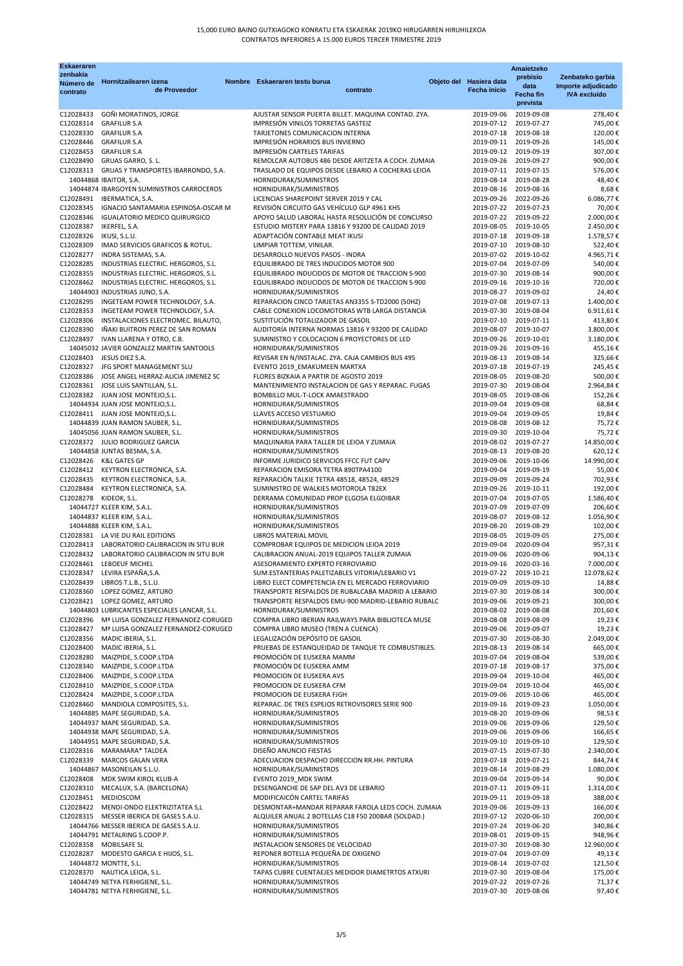| <b>Eskaeraren</b>      |                                                                                     |                                                                                             |                          | Amaietzeko                                     |                                           |
|------------------------|-------------------------------------------------------------------------------------|---------------------------------------------------------------------------------------------|--------------------------|------------------------------------------------|-------------------------------------------|
| zenbakia<br>Número de  | Hornitzailearen izena                                                               | Nombre Eskaeraren testu burua                                                               | Objeto del Hasiera data  | prebisio                                       | Zenbateko garbia                          |
| contrato               | de Proveedor                                                                        | contrato                                                                                    | Fecha inicio             | data<br>Fecha fin                              | Importe adjudicado<br><b>IVA</b> excluído |
|                        |                                                                                     |                                                                                             |                          | prevista                                       |                                           |
| C12028433              | GOÑI MORATINOS, JORGE                                                               | AJUSTAR SENSOR PUERTA BILLET. MAQUINA CONTAD. ZYA.                                          | 2019-09-06               | 2019-09-08                                     | 278,40€                                   |
| C12028314              | <b>GRAFILUR S.A</b>                                                                 | IMPRESIÓN VINILOS TORRETAS GASTEIZ                                                          | 2019-07-12               | 2019-07-27                                     | 745,00€                                   |
| C12028330<br>C12028446 | <b>GRAFILUR S.A</b><br><b>GRAFILUR S.A</b>                                          | TARJETONES COMUNICACION INTERNA<br>IMPRESIÓN HORARIOS BUS INVIERNO                          | 2019-07-18<br>2019-09-11 | 2019-08-18<br>2019-09-26                       | 120,00€<br>145,00€                        |
| C12028453              | <b>GRAFILUR S.A</b>                                                                 | IMPRESIÓN CARTELES TARIFAS                                                                  | 2019-09-12               | 2019-09-19                                     | 307,00€                                   |
| C12028490              | GRUAS GARRO, S. L.                                                                  | REMOLCAR AUTOBUS 486 DESDE ARITZETA A COCH. ZUMAIA                                          | 2019-09-26               | 2019-09-27                                     | 900,00€                                   |
| C12028313              | GRUAS Y TRANSPORTES IBARRONDO, S.A.                                                 | TRASLADO DE EQUIPOS DESDE LEBARIO A COCHERAS LEIOA                                          | 2019-07-11               | 2019-07-15                                     | 576,00€                                   |
|                        | 14044868 IBAITOR, S.A.                                                              | HORNIDURAK/SUMINISTROS                                                                      | 2019-08-14               | 2019-08-28                                     | 48,40€                                    |
|                        | 14044874 IBARGOYEN SUMINISTROS CARROCEROS                                           | HORNIDURAK/SUMINISTROS                                                                      |                          | 2019-08-16 2019-08-16                          | 8,68€                                     |
| C12028491<br>C12028345 | IBERMATICA, S.A.<br>IGNACIO SANTAMARIA ESPINOSA-OSCAR M                             | LICENCIAS SHAREPOINT SERVER 2019 Y CAL<br>REVISIÓN CIRCUITO GAS VEHÍCULO GLP 4961 KHS       |                          | 2019-09-26 2022-09-26<br>2019-07-22 2019-07-23 | 6.086,77€<br>70,00€                       |
| C12028346              | <b>IGUALATORIO MEDICO QUIRURGICO</b>                                                | APOYO SALUD LABORAL HASTA RESOLUCIÓN DE CONCURSO                                            |                          | 2019-07-22 2019-09-22                          | 2.000,00€                                 |
| C12028387              | IKERFEL, S.A.                                                                       | ESTUDIO MISTERY PARA 13816 Y 93200 DE CALIDAD 2019                                          | 2019-08-05               | 2019-10-05                                     | 2.450,00€                                 |
| C12028326              | IKUSI, S.L.U.                                                                       | ADAPTACIÓN CONTABLE MEAT IKUSI                                                              |                          | 2019-07-18 2019-09-18                          | 1.578,57€                                 |
| C12028309              | IMAD SERVICIOS GRAFICOS & ROTUL.                                                    | LIMPIAR TOTTEM, VINILAR.                                                                    | 2019-07-10               | 2019-08-10                                     | 522,40€                                   |
| C12028277<br>C12028285 | INDRA SISTEMAS, S.A.<br>INDUSTRIAS ELECTRIC. HERGOROS, S.L.                         | DESARROLLO NUEVOS PASOS - INDRA<br>EQUILIBRADO DE TRES INDUCIDOS MOTOR 900                  | 2019-07-04               | 2019-07-02 2019-10-02<br>2019-07-09            | 4.965,71€<br>540,00€                      |
| C12028355              | INDUSTRIAS ELECTRIC. HERGOROS, S.L.                                                 | EQUILIBRADO INDUCIDOS DE MOTOR DE TRACCION S-900                                            | 2019-07-30               | 2019-08-14                                     | 900,00€                                   |
| C12028462              | INDUSTRIAS ELECTRIC. HERGOROS, S.L.                                                 | EQUILIBRADO INDUCIDOS DE MOTOR DE TRACCION S-900                                            | 2019-09-16               | 2019-10-16                                     | 720,00€                                   |
|                        | 14044903 INDUSTRIAS JUNO, S.A.                                                      | HORNIDURAK/SUMINISTROS                                                                      | 2019-08-27               | 2019-09-02                                     | 24,40€                                    |
| C12028295              | INGETEAM POWER TECHNOLOGY, S.A.                                                     | REPARACION CINCO TARJETAS AN3355 S-TD2000 (50HZ)                                            | 2019-07-08               | 2019-07-13                                     | 1.400,00€                                 |
| C12028353<br>C12028306 | INGETEAM POWER TECHNOLOGY, S.A.<br>INSTALACIONES ELECTROMEC. BILAUTO,               | CABLE CONEXION LOCOMOTORAS WTB LARGA DISTANCIA<br>SUSTITUCIÓN TOTALIZADOR DE GASOIL         | 2019-07-30<br>2019-07-10 | 2019-08-04<br>2019-07-11                       | 6.911,61€<br>413,80€                      |
| C12028390              | IÑAKI BUITRON PEREZ DE SAN ROMAN                                                    | AUDITORÍA INTERNA NORMAS 13816 Y 93200 DE CALIDAD                                           | 2019-08-07               | 2019-10-07                                     | 3.800,00€                                 |
| C12028497              | IVAN LLARENA Y OTRO, C.B.                                                           | SUMINISTRO Y COLOCACION 6 PROYECTORES DE LED                                                | 2019-09-26               | 2019-10-01                                     | 3.180,00€                                 |
|                        | 14045032 JAVIER GONZALEZ MARTIN SANTOOLS                                            | HORNIDURAK/SUMINISTROS                                                                      | 2019-09-26               | 2019-09-16                                     | 455,16€                                   |
|                        | C12028403 JESUS DIEZ S.A.                                                           | REVISAR EN N/INSTALAC. ZYA. CAJA CAMBIOS BUS 495                                            | 2019-08-13               | 2019-08-14                                     | 325,66€                                   |
|                        | C12028327 JFG SPORT MANAGEMENT SLU                                                  | EVENTO 2019 EMAKUMEEN MARTXA                                                                | 2019-07-18               | 2019-07-19                                     | 245,45€                                   |
| C12028386              | JOSE ANGEL HERRAZ-ALICIA JIMENEZ SC<br>C12028361 JOSE LUIS SANTILLAN, S.L.          | FLORES BIZKAIA A PARTIR DE AGOSTO 2019<br>MANTENIMIENTO INSTALACION DE GAS Y REPARAC. FUGAS | 2019-08-05<br>2019-07-30 | 2019-08-20<br>2019-08-04                       | 500,00€<br>2.964,84€                      |
|                        | C12028382 JUAN JOSE MONTEJO, S.L.                                                   | BOMBILLO MUL-T-LOCK AMAESTRADO                                                              | 2019-08-05               | 2019-08-06                                     | 152,26€                                   |
|                        | 14044934 JUAN JOSE MONTEJO, S.L.                                                    | HORNIDURAK/SUMINISTROS                                                                      | 2019-09-04               | 2019-09-08                                     | 68,84€                                    |
|                        | C12028411 JUAN JOSE MONTEJO, S.L.                                                   | LLAVES ACCESO VESTUARIO                                                                     | 2019-09-04               | 2019-09-05                                     | 19,84€                                    |
|                        | 14044839 JUAN RAMON SAUBER, S.L.                                                    | HORNIDURAK/SUMINISTROS                                                                      | 2019-08-08               | 2019-08-12                                     | 75,72€                                    |
|                        | 14045056 JUAN RAMON SAUBER, S.L.<br>C12028372 JULIO RODRIGUEZ GARCIA                | HORNIDURAK/SUMINISTROS<br>MAQUINARIA PARA TALLER DE LEIOA Y ZUMAIA                          | 2019-09-30<br>2019-08-02 | 2019-10-04<br>2019-07-27                       | 75,72€<br>14.850,00€                      |
|                        | 14044858 JUNTAS BESMA, S.A.                                                         | HORNIDURAK/SUMINISTROS                                                                      | 2019-08-13               | 2019-08-20                                     | 620,12€                                   |
| C12028426              | K&L GATES GP                                                                        | INFORME JURIDICO SERVICIOS FFCC FUT CAPV                                                    | 2019-09-06               | 2019-10-06                                     | 14.990,00€                                |
| C12028412              | KEYTRON ELECTRONICA, S.A.                                                           | REPARACION EMISORA TETRA 890TPA4100                                                         | 2019-09-04               | 2019-09-19                                     | 55,00€                                    |
| C12028435              | KEYTRON ELECTRONICA, S.A.                                                           | REPARACIÓN TALKIE TETRA 48518, 48524, 48529                                                 | 2019-09-09               | 2019-09-24                                     | 702,93€                                   |
| C12028484              | KEYTRON ELECTRONICA, S.A.                                                           | SUMINISTRO DE WALKIES MOTOROLA T82EX                                                        | 2019-09-26               | 2019-10-11                                     | 192,00€                                   |
| C12028278 KIDEOK, S.L. | 14044727 KLEER KIM, S.A.L.                                                          | DERRAMA COMUNIDAD PROP ELGOSA ELGOIBAR<br>HORNIDURAK/SUMINISTROS                            | 2019-07-04<br>2019-07-09 | 2019-07-05<br>2019-07-09                       | 1.586,40€<br>206,60€                      |
|                        | 14044837 KLEER KIM, S.A.L.                                                          | HORNIDURAK/SUMINISTROS                                                                      | 2019-08-07               | 2019-08-12                                     | 1.056,90€                                 |
|                        | 14044888 KLEER KIM, S.A.L.                                                          | HORNIDURAK/SUMINISTROS                                                                      | 2019-08-20               | 2019-08-29                                     | 102,00€                                   |
|                        | C12028381 LA VIE DU RAIL EDITIONS                                                   | LIBROS MATERIAL MOVIL                                                                       | 2019-08-05               | 2019-09-05                                     | 275,00€                                   |
| C12028413              | LABORATORIO CALIBRACION IN SITU BUR                                                 | COMPROBAR EQUIPOS DE MEDICION LEIOA 2019                                                    | 2019-09-04               | 2020-09-04                                     | 957,31€                                   |
| C12028461              | C12028432 LABORATORIO CALIBRACION IN SITU BUR<br>LEBOEUF MICHEL                     | CALIBRACION ANUAL-2019 EQUIPOS TALLER ZUMAIA<br>ASESORAMIENTO EXPERTO FERROVIARIO           | 2019-09-06<br>2019-09-16 | 2020-09-06<br>2020-03-16                       | 904,13€<br>7.000,00€                      |
| C12028347              | LEVIRA ESPAÑA,S.A.                                                                  | SUM.ESTANTERIAS PALETIZABLES VITORIA/LEBARIO V1                                             | 2019-07-22               | 2019-10-21                                     | 12.078,62€                                |
| C12028439              | LIBROS T.L.B., S.L.U.                                                               | LIBRO ELECT COMPETENCIA EN EL MERCADO FERROVIARIO                                           | 2019-09-09               | 2019-09-10                                     | 14,88€                                    |
| C12028360              | LOPEZ GOMEZ, ARTURO                                                                 | TRANSPORTE RESPALDOS DE RUBALCABA MADRID A LEBARIO                                          | 2019-07-30               | 2019-08-14                                     | 300,00€                                   |
| C12028421              | LOPEZ GOMEZ, ARTURO                                                                 | TRANSPORTE RESPALDOS EMU-900 MADRID-LEBARIO RUBALC                                          | 2019-09-06               | 2019-09-21                                     | 300,00€                                   |
| C12028396              | 14044803 LUBRICANTES ESPECIALES LANCAR, S.L.<br>Mª LUISA GONZALEZ FERNANDEZ-CORUGED | HORNIDURAK/SUMINISTROS<br>COMPRA LIBRO IBERIAN RAILWAYS PARA BIBLIOTECA MUSE                | 2019-08-02<br>2019-08-08 | 2019-08-08<br>2019-08-09                       | 201,60€<br>19,23€                         |
| C12028427              | Mª LUISA GONZALEZ FERNANDEZ-CORUGED                                                 | COMPRA LIBRO MUSEO (TREN A CUENCA)                                                          | 2019-09-06               | 2019-09-07                                     | 19,23€                                    |
| C12028356              | MADIC IBERIA, S.L.                                                                  | LEGALIZACIÓN DEPÓSITO DE GASOIL                                                             | 2019-07-30               | 2019-08-30                                     | 2.049,00€                                 |
| C12028400              | MADIC IBERIA, S.L.                                                                  | PRUEBAS DE ESTANQUEIDAD DE TANQUE TE COMBUSTIBLES.                                          | 2019-08-13               | 2019-08-14                                     | 665,00€                                   |
| C12028280              | MAIZPIDE, S.COOP.LTDA                                                               | PROMOCIÓN DE EUSKERA MAMM                                                                   | 2019-07-04               | 2019-08-04                                     | 539,00€                                   |
| C12028340<br>C12028406 | MAIZPIDE, S.COOP.LTDA<br>MAIZPIDE, S.COOP.LTDA                                      | PROMOCIÓN DE EUSKERA AMM<br>PROMOCION DE EUSKERA AVS                                        | 2019-07-18<br>2019-09-04 | 2019-08-17<br>2019-10-04                       | 375,00€<br>465,00€                        |
| C12028410              | MAIZPIDE, S.COOP.LTDA                                                               | PROMOCION DE EUSKERA CFM                                                                    | 2019-09-04               | 2019-10-04                                     | 465,00€                                   |
| C12028424              | MAIZPIDE, S.COOP.LTDA                                                               | PROMOCION DE EUSKERA FJGH                                                                   | 2019-09-06               | 2019-10-06                                     | 465,00€                                   |
| C12028460              | MANDIOLA COMPOSITES, S.L.                                                           | REPARAC. DE TRES ESPEJOS RETROVISORES SERIE 900                                             |                          | 2019-09-16 2019-09-23                          | 1.050,00€                                 |
|                        | 14044885 MAPE SEGURIDAD, S.A.                                                       | HORNIDURAK/SUMINISTROS                                                                      | 2019-08-20               | 2019-09-06                                     | 98,53€                                    |
|                        | 14044937 MAPE SEGURIDAD, S.A.<br>14044938 MAPE SEGURIDAD, S.A.                      | HORNIDURAK/SUMINISTROS<br>HORNIDURAK/SUMINISTROS                                            | 2019-09-06               | 2019-09-06<br>2019-09-06 2019-09-06            | 129,50€<br>166,65€                        |
|                        | 14044951 MAPE SEGURIDAD, S.A.                                                       | HORNIDURAK/SUMINISTROS                                                                      | 2019-09-10               | 2019-09-10                                     | 129,50€                                   |
|                        | C12028316 MARAMARA* TALDEA                                                          | DISEÑO ANUNCIO FIESTAS                                                                      |                          | 2019-07-15 2019-07-30                          | 2.340,00€                                 |
| C12028339              | MARCOS GALAN VERA                                                                   | ADECUACION DESPACHO DIRECCION RR.HH. PINTURA                                                | 2019-07-18               | 2019-07-21                                     | 844,74€                                   |
|                        | 14044867 MASONEILAN S.L.U.                                                          | HORNIDURAK/SUMINISTROS                                                                      | 2019-08-14               | 2019-08-29                                     | 1.080,00€                                 |
| C12028408              | MDK SWIM KIROL KLUB-A                                                               | EVENTO 2019 MDK SWIM                                                                        | 2019-09-04               | 2019-09-14                                     | 90,00€                                    |
| C12028310<br>C12028451 | MECALUX, S.A. (BARCELONA)<br>MEDIOSCOM                                              | DESENGANCHE DE SAP DEL AV3 DE LEBARIO<br>MODIFICAICÓN CARTEL TARIFAS                        |                          | 2019-07-11 2019-09-11<br>2019-09-11 2019-09-18 | 1.314,00€<br>388,00€                      |
| C12028422              | MENDI-ONDO ELEKTRIZITATEA S,L                                                       | DESMONTAR+MANDAR REPARAR FAROLA LEDS COCH. ZUMAIA                                           | 2019-09-06               | 2019-09-13                                     | 166,00€                                   |
|                        | C12028315 MESSER IBERICA DE GASES S.A.U.                                            | ALQUILER ANUAL 2 BOTELLAS C18 F50 200BAR (SOLDAD.)                                          |                          | 2019-07-12 2020-06-10                          | 200,00€                                   |
|                        | 14044766 MESSER IBERICA DE GASES S.A.U.                                             | HORNIDURAK/SUMINISTROS                                                                      | 2019-07-24               | 2019-06-20                                     | 340,86€                                   |
|                        | 14044791 METALRING S.COOP.P.                                                        | HORNIDURAK/SUMINISTROS                                                                      |                          | 2019-08-01 2019-09-15                          | 948,96€                                   |
|                        | C12028358 MOBILSAFE SL<br>C12028287 MODESTO GARCIA E HIJOS, S.L.                    | INSTALACION SENSORES DE VELOCIDAD<br>REPONER BOTELLA PEQUEÑA DE OXIGENO                     | 2019-07-30               | 2019-08-30<br>2019-07-04 2019-07-09            | 12.960,00€<br>49,13€                      |
|                        | 14044872 MONTTE, S.L.                                                               | HORNIDURAK/SUMINISTROS                                                                      |                          | 2019-08-14 2019-07-02                          | 121,50€                                   |
|                        | C12028370 NAUTICA LEIOA, S.L.                                                       | TAPAS CUBRE CUENTAEJES MEDIDOR DIAMETRTOS ATXURI                                            |                          | 2019-07-30 2019-08-04                          | 175,00€                                   |
|                        | 14044749 NETYA FERHIGIENE, S.L.                                                     | HORNIDURAK/SUMINISTROS                                                                      |                          | 2019-07-22 2019-07-26                          | 71,37€                                    |
|                        | 14044781 NETYA FERHIGIENE, S.L.                                                     | HORNIDURAK/SUMINISTROS                                                                      |                          | 2019-07-30 2019-08-06                          | 97,40€                                    |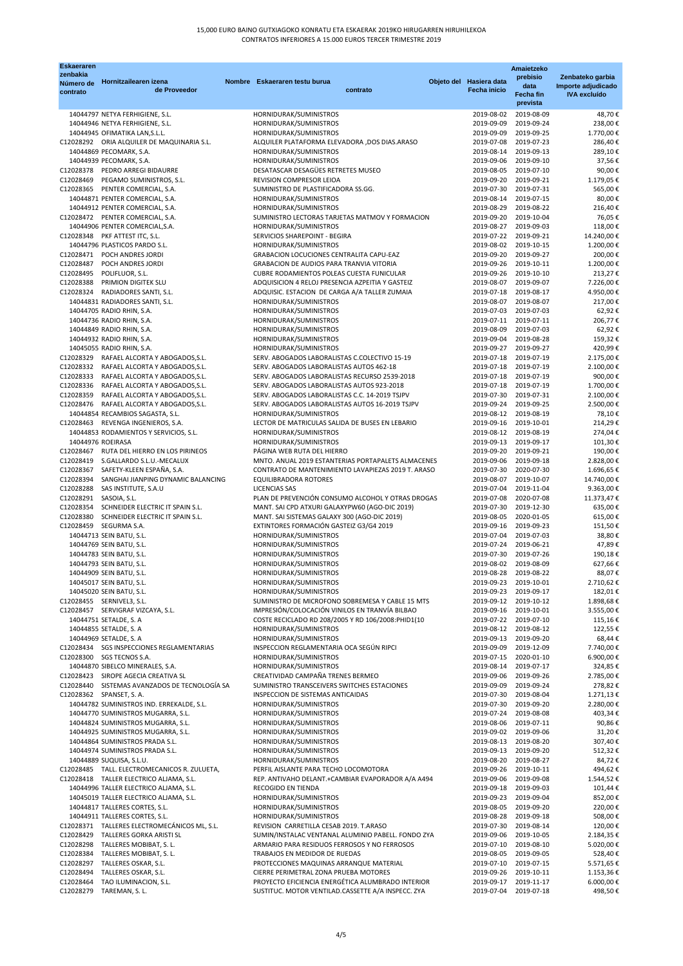| <b>Eskaeraren</b>      |                                                                          |               |                                                                                                         |          |                          | Amaietzeko                          |                                           |
|------------------------|--------------------------------------------------------------------------|---------------|---------------------------------------------------------------------------------------------------------|----------|--------------------------|-------------------------------------|-------------------------------------------|
| zenbakia<br>Número de  | Hornitzailearen izena                                                    | <b>Nombre</b> | Eskaeraren testu burua                                                                                  |          | Objeto del Hasiera data  | prebisio                            | Zenbateko garbia                          |
| contrato               | de Proveedor                                                             |               |                                                                                                         | contrato | <b>Fecha inicio</b>      | data                                | Importe adjudicado<br><b>IVA</b> excluído |
|                        |                                                                          |               |                                                                                                         |          |                          | <b>Fecha fin</b><br>prevista        |                                           |
|                        |                                                                          |               |                                                                                                         |          |                          |                                     |                                           |
|                        | 14044797 NETYA FERHIGIENE, S.L.<br>14044946 NETYA FERHIGIENE, S.L.       |               | HORNIDURAK/SUMINISTROS<br>HORNIDURAK/SUMINISTROS                                                        |          | 2019-08-02<br>2019-09-09 | 2019-08-09<br>2019-09-24            | 48,70€<br>238,00€                         |
|                        | 14044945 OFIMATIKA LAN, S.L.L.                                           |               | HORNIDURAK/SUMINISTROS                                                                                  |          | 2019-09-09               | 2019-09-25                          | 1.770,00€                                 |
|                        | C12028292 ORIA ALQUILER DE MAQUINARIA S.L.                               |               | ALQUILER PLATAFORMA ELEVADORA ,DOS DIAS.ARASO                                                           |          | 2019-07-08               | 2019-07-23                          | 286,40€                                   |
|                        | 14044869 PECOMARK, S.A.                                                  |               | HORNIDURAK/SUMINISTROS                                                                                  |          | 2019-08-14               | 2019-09-13                          | 289,10€                                   |
|                        | 14044939 PECOMARK, S.A.                                                  |               | HORNIDURAK/SUMINISTROS                                                                                  |          | 2019-09-06               | 2019-09-10                          | 37,56€                                    |
|                        | C12028378 PEDRO ARREGI BIDAURRE                                          |               | DESATASCAR DESAGÜES RETRETES MUSEO                                                                      |          | 2019-08-05               | 2019-07-10                          | 90,00€                                    |
| C12028469              | PEGAMO SUMINISTROS, S.L.                                                 |               | REVISION COMPRESOR LEIOA                                                                                |          | 2019-09-20               | 2019-09-21                          | 1.179,05€                                 |
|                        | C12028365 PENTER COMERCIAL, S.A.                                         |               | SUMINISTRO DE PLASTIFICADORA SS.GG.                                                                     |          | 2019-07-30               | 2019-07-31                          | 565,00€                                   |
|                        | 14044871 PENTER COMERCIAL, S.A.                                          |               | HORNIDURAK/SUMINISTROS                                                                                  |          | 2019-08-14               | 2019-07-15                          | 80,00€                                    |
|                        | 14044912 PENTER COMERCIAL, S.A.                                          |               | HORNIDURAK/SUMINISTROS                                                                                  |          | 2019-08-29               | 2019-08-22                          | 216,40€                                   |
|                        | C12028472 PENTER COMERCIAL, S.A.                                         |               | SUMINISTRO LECTORAS TARJETAS MATMOV Y FORMACION                                                         |          | 2019-09-20               | 2019-10-04                          | 76,05€                                    |
|                        | 14044906 PENTER COMERCIAL, S.A.                                          |               | HORNIDURAK/SUMINISTROS                                                                                  |          | 2019-08-27               | 2019-09-03                          | 118,00€                                   |
|                        | C12028348 PKF ATTEST ITC, S.L.                                           |               | SERVICIOS SHAREPOINT - BEGIRA                                                                           |          | 2019-07-22               | 2019-09-21                          | 14.240,00€                                |
|                        | 14044796 PLASTICOS PARDO S.L.<br>C12028471 POCH ANDRES JORDI             |               | HORNIDURAK/SUMINISTROS<br>GRABACION LOCUCIONES CENTRALITA CAPU-EAZ                                      |          | 2019-08-02<br>2019-09-20 | 2019-10-15<br>2019-09-27            | 1.200,00€<br>200,00€                      |
| C12028487              | POCH ANDRES JORDI                                                        |               | GRABACION DE AUDIOS PARA TRANVIA VITORIA                                                                |          | 2019-09-26               | 2019-10-11                          | 1.200,00€                                 |
| C12028495              | POLIFLUOR, S.L.                                                          |               | CUBRE RODAMIENTOS POLEAS CUESTA FUNICULAR                                                               |          | 2019-09-26               | 2019-10-10                          | 213,27€                                   |
| C12028388              | PRIMION DIGITEK SLU                                                      |               | ADQUISICION 4 RELOJ PRESENCIA AZPEITIA Y GASTEIZ                                                        |          | 2019-08-07               | 2019-09-07                          | 7.226,00€                                 |
|                        | C12028324 RADIADORES SANTI, S.L.                                         |               | ADQUISIC. ESTACION DE CARGA A/A TALLER ZUMAIA                                                           |          | 2019-07-18               | 2019-08-17                          | 4.950,00€                                 |
|                        | 14044831 RADIADORES SANTI, S.L.                                          |               | HORNIDURAK/SUMINISTROS                                                                                  |          | 2019-08-07               | 2019-08-07                          | 217,00€                                   |
|                        | 14044705 RADIO RHIN, S.A.                                                |               | HORNIDURAK/SUMINISTROS                                                                                  |          | 2019-07-03               | 2019-07-03                          | 62,92€                                    |
|                        | 14044736 RADIO RHIN, S.A.                                                |               | HORNIDURAK/SUMINISTROS                                                                                  |          | 2019-07-11               | 2019-07-11                          | 206,77€                                   |
|                        | 14044849 RADIO RHIN, S.A.                                                |               | HORNIDURAK/SUMINISTROS                                                                                  |          | 2019-08-09               | 2019-07-03                          | 62,92€                                    |
|                        | 14044932 RADIO RHIN, S.A.                                                |               | HORNIDURAK/SUMINISTROS                                                                                  |          | 2019-09-04               | 2019-08-28                          | 159,32€                                   |
|                        | 14045055 RADIO RHIN, S.A.                                                |               | HORNIDURAK/SUMINISTROS                                                                                  |          | 2019-09-27               | 2019-09-27                          | 420,99€                                   |
|                        | C12028329 RAFAEL ALCORTA Y ABOGADOS, S.L.                                |               | SERV. ABOGADOS LABORALISTAS C.COLECTIVO 15-19                                                           |          | 2019-07-18               | 2019-07-19                          | 2.175,00€                                 |
|                        | C12028332 RAFAEL ALCORTA Y ABOGADOS, S.L.                                |               | SERV. ABOGADOS LABORALISTAS AUTOS 462-18                                                                |          | 2019-07-18               | 2019-07-19                          | 2.100,00€                                 |
| C12028333              | RAFAEL ALCORTA Y ABOGADOS, S.L.                                          |               | SERV. ABOGADOS LABORALISTAS RECURSO 2539-2018                                                           |          | 2019-07-18               | 2019-07-19                          | 900,00€                                   |
| C12028336              | RAFAEL ALCORTA Y ABOGADOS, S.L.<br>RAFAEL ALCORTA Y ABOGADOS, S.L.       |               | SERV. ABOGADOS LABORALISTAS AUTOS 923-2018                                                              |          | 2019-07-18               | 2019-07-19                          | 1.700,00€<br>2.100,00€                    |
| C12028359<br>C12028476 | RAFAEL ALCORTA Y ABOGADOS,S.L.                                           |               | SERV. ABOGADOS LABORALISTAS C.C. 14-2019 TSJPV<br>SERV. ABOGADOS LABORALISTAS AUTOS 16-2019 TSJPV       |          | 2019-07-30<br>2019-09-24 | 2019-07-31<br>2019-09-25            | 2.500,00€                                 |
|                        | 14044854 RECAMBIOS SAGASTA, S.L.                                         |               | HORNIDURAK/SUMINISTROS                                                                                  |          | 2019-08-12               | 2019-08-19                          | 78,10€                                    |
|                        | C12028463 REVENGA INGENIEROS, S.A.                                       |               | LECTOR DE MATRICULAS SALIDA DE BUSES EN LEBARIO                                                         |          | 2019-09-16               | 2019-10-01                          | 214,29€                                   |
|                        | 14044853 RODAMIENTOS Y SERVICIOS, S.L.                                   |               | HORNIDURAK/SUMINISTROS                                                                                  |          | 2019-08-12               | 2019-08-19                          | 274,04€                                   |
|                        | 14044976 ROEIRASA                                                        |               | HORNIDURAK/SUMINISTROS                                                                                  |          | 2019-09-13               | 2019-09-17                          | 101,30€                                   |
|                        | C12028467 RUTA DEL HIERRO EN LOS PIRINEOS                                |               | PÁGINA WEB RUTA DEL HIERRO                                                                              |          | 2019-09-20               | 2019-09-21                          | 190,00€                                   |
| C12028419              | S.GALLARDO S.L.U.-MECALUX                                                |               | MNTO. ANUAL 2019 ESTANTERIAS PORTAPALETS ALMACENES                                                      |          | 2019-09-06               | 2019-09-18                          | 2.828,00€                                 |
| C12028367              | SAFETY-KLEEN ESPAÑA, S.A.                                                |               | CONTRATO DE MANTENIMIENTO LAVAPIEZAS 2019 T. ARASO                                                      |          | 2019-07-30               | 2020-07-30                          | 1.696,65€                                 |
| C12028394              | SANGHAI JIANPING DYNAMIC BALANCING                                       |               | <b>EQUILIBRADORA ROTORES</b>                                                                            |          | 2019-08-07               | 2019-10-07                          | 14.740,00€                                |
| C12028288              | SAS INSTITUTE, S.A.U                                                     |               | <b>LICENCIAS SAS</b>                                                                                    |          | 2019-07-04               | 2019-11-04                          | 9.363,00€                                 |
| C12028291              | SASOIA, S.L.                                                             |               | PLAN DE PREVENCIÓN CONSUMO ALCOHOL Y OTRAS DROGAS                                                       |          | 2019-07-08               | 2020-07-08                          | 11.373,47€                                |
| C12028354              | SCHNEIDER ELECTRIC IT SPAIN S.L.<br>SCHNEIDER ELECTRIC IT SPAIN S.L.     |               | MANT. SAI CPD ATXURI GALAXYPW60 (AGO-DIC 2019)                                                          |          | 2019-07-30<br>2019-08-05 | 2019-12-30                          | 635,00€                                   |
| C12028380<br>C12028459 | SEGURMA S.A.                                                             |               | MANT. SAI SISTEMAS GALAXY 300 (AGO-DIC 2019)<br>EXTINTORES FORMACIÓN GASTEIZ G3/G4 2019                 |          | 2019-09-16               | 2020-01-05<br>2019-09-23            | 615,00€<br>151,50€                        |
|                        | 14044713 SEIN BATU, S.L.                                                 |               | HORNIDURAK/SUMINISTROS                                                                                  |          | 2019-07-04               | 2019-07-03                          | 38,80€                                    |
|                        | 14044769 SEIN BATU, S.L.                                                 |               | HORNIDURAK/SUMINISTROS                                                                                  |          | 2019-07-24               | 2019-06-21                          | 47,89€                                    |
|                        | 14044783 SEIN BATU, S.L.                                                 |               | HORNIDURAK/SUMINISTROS                                                                                  |          | 2019-07-30               | 2019-07-26                          | 190,18€                                   |
|                        | 14044793 SEIN BATU, S.L.                                                 |               | HORNIDURAK/SUMINISTROS                                                                                  |          | 2019-08-02               | 2019-08-09                          | 627,66€                                   |
|                        | 14044909 SEIN BATU, S.L.                                                 |               | HORNIDURAK/SUMINISTROS                                                                                  |          | 2019-08-28               | 2019-08-22                          | 88.07€                                    |
|                        | 14045017 SEIN BATU, S.L.                                                 |               | HORNIDURAK/SUMINISTROS                                                                                  |          | 2019-09-23               | 2019-10-01                          | 2.710,62€                                 |
|                        | 14045020 SEIN BATU, S.L.                                                 |               | HORNIDURAK/SUMINISTROS                                                                                  |          | 2019-09-23               | 2019-09-17                          | 182,01€                                   |
|                        | C12028455 SERNIVEL3, S.L.                                                |               | SUMINISTRO DE MICROFONO SOBREMESA Y CABLE 15 MTS                                                        |          | 2019-09-12               | 2019-10-12                          | 1.898,68€                                 |
|                        | C12028457 SERVIGRAF VIZCAYA, S.L.                                        |               | IMPRESIÓN/COLOCACIÓN VINILOS EN TRANVÍA BILBAO                                                          |          |                          | 2019-09-16 2019-10-01               | 3.555,00€                                 |
|                        | 14044751 SETALDE, S. A                                                   |               | COSTE RECICLADO RD 208/2005 Y RD 106/2008:PHID1(10                                                      |          | 2019-07-22               | 2019-07-10                          | 115,16€                                   |
|                        | 14044855 SETALDE, S. A<br>14044969 SETALDE, S. A                         |               | HORNIDURAK/SUMINISTROS<br>HORNIDURAK/SUMINISTROS                                                        |          | 2019-09-13               | 2019-08-12 2019-08-12<br>2019-09-20 | 122,55€<br>68,44€                         |
|                        | C12028434 SGS INSPECCIONES REGLAMENTARIAS                                |               | INSPECCION REGLAMENTARIA OCA SEGÚN RIPCI                                                                |          | 2019-09-09               | 2019-12-09                          | 7.740,00€                                 |
|                        | C12028300 SGS TECNOS S.A.                                                |               | HORNIDURAK/SUMINISTROS                                                                                  |          | 2019-07-15               | 2020-01-10                          | 6.900,00€                                 |
|                        | 14044870 SIBELCO MINERALES, S.A.                                         |               | HORNIDURAK/SUMINISTROS                                                                                  |          | 2019-08-14               | 2019-07-17                          | 324,85€                                   |
|                        | C12028423 SIROPE AGECIA CREATIVA SL                                      |               | CREATIVIDAD CAMPAÑA TRENES BERMEO                                                                       |          | 2019-09-06               | 2019-09-26                          | 2.785,00€                                 |
|                        | C12028440 SISTEMAS AVANZADOS DE TECNOLOGÍA SA                            |               | SUMINISTRO TRANSCEIVERS SWITCHES ESTACIONES                                                             |          | 2019-09-09               | 2019-09-24                          | 278,82€                                   |
|                        | C12028362 SPANSET, S. A.                                                 |               | INSPECCION DE SISTEMAS ANTICAIDAS                                                                       |          | 2019-07-30               | 2019-08-04                          | 1.271,13€                                 |
|                        | 14044782 SUMINISTROS IND. ERREKALDE, S.L.                                |               | HORNIDURAK/SUMINISTROS                                                                                  |          | 2019-07-30               | 2019-09-20                          | 2.280,00€                                 |
|                        | 14044770 SUMINISTROS MUGARRA, S.L.                                       |               | HORNIDURAK/SUMINISTROS                                                                                  |          | 2019-07-24               | 2019-08-08                          | 403,34€                                   |
|                        | 14044824 SUMINISTROS MUGARRA, S.L.                                       |               | HORNIDURAK/SUMINISTROS                                                                                  |          | 2019-08-06               | 2019-07-11                          | 90,86€                                    |
|                        | 14044925 SUMINISTROS MUGARRA, S.L.                                       |               | HORNIDURAK/SUMINISTROS                                                                                  |          | 2019-09-02               | 2019-09-06                          | 31,20€                                    |
|                        | 14044864 SUMINISTROS PRADA S.L.                                          |               | HORNIDURAK/SUMINISTROS                                                                                  |          | 2019-08-13               | 2019-08-20                          | 307,40€                                   |
|                        | 14044974 SUMINISTROS PRADA S.L.                                          |               | HORNIDURAK/SUMINISTROS                                                                                  |          | 2019-09-13               | 2019-09-20                          | 512,32€                                   |
|                        | 14044889 SUQUISA, S.L.U.<br>C12028485 TALL. ELECTROMECANICOS R. ZULUETA, |               | HORNIDURAK/SUMINISTROS<br>PERFIL AISLANTE PARA TECHO LOCOMOTORA                                         |          | 2019-08-20<br>2019-09-26 | 2019-08-27<br>2019-10-11            | 84,72€<br>494,62€                         |
|                        | C12028418 TALLER ELECTRICO ALJAMA, S.L.                                  |               | REP. ANTIVAHO DELANT.+CAMBIAR EVAPORADOR A/A A494                                                       |          | 2019-09-06               | 2019-09-08                          | 1.544,52€                                 |
|                        | 14044996 TALLER ELECTRICO ALJAMA, S.L.                                   |               | RECOGIDO EN TIENDA                                                                                      |          | 2019-09-18               | 2019-09-03                          | 101,44€                                   |
|                        | 14045019 TALLER ELECTRICO ALJAMA, S.L.                                   |               | HORNIDURAK/SUMINISTROS                                                                                  |          | 2019-09-23               | 2019-09-04                          | 852,00€                                   |
|                        | 14044817 TALLERES CORTES, S.L.                                           |               | HORNIDURAK/SUMINISTROS                                                                                  |          | 2019-08-05               | 2019-09-20                          | 220,00€                                   |
|                        | 14044911 TALLERES CORTES, S.L.                                           |               | HORNIDURAK/SUMINISTROS                                                                                  |          | 2019-08-28               | 2019-09-18                          | 508,00€                                   |
|                        | C12028371 TALLERES ELECTROMECÁNICOS ML, S.L.                             |               | REVISION CARRETILLA CESAB 2019. T.ARASO                                                                 |          | 2019-07-30               | 2019-08-14                          | 120,00€                                   |
| C12028429              | TALLERES GORKA ARISTI SL                                                 |               | SUMIN/INSTALAC VENTANAL ALUMINIO PABELL. FONDO ZYA                                                      |          | 2019-09-06               | 2019-10-05                          | 2.184,35€                                 |
| C12028298              | TALLERES MOBIBAT, S. L.                                                  |               | ARMARIO PARA RESIDUOS FERROSOS Y NO FERROSOS                                                            |          | 2019-07-10               | 2019-08-10                          | 5.020,00€                                 |
| C12028384              | TALLERES MOBIBAT, S.L.                                                   |               | TRABAJOS EN MEDIDOR DE RUEDAS                                                                           |          | 2019-08-05               | 2019-09-05                          | 528,40€                                   |
|                        | C12028297 TALLERES OSKAR, S.L.                                           |               | PROTECCIONES MAQUINAS ARRANQUE MATERIAL                                                                 |          | 2019-07-10               | 2019-07-15                          | 5.571,65€                                 |
| C12028494              | TALLERES OSKAR, S.L.                                                     |               | CIERRE PERIMETRAL ZONA PRUEBA MOTORES                                                                   |          | 2019-09-26               | 2019-10-11                          | 1.153,36€                                 |
| C12028464<br>C12028279 | TAO ILUMINACION, S.L.<br>TAREMAN, S. L.                                  |               | PROYECTO EFICIENCIA ENERGÉTICA ALUMBRADO INTERIOR<br>SUSTITUC. MOTOR VENTILAD.CASSETTE A/A INSPECC. ZYA |          | 2019-09-17<br>2019-07-04 | 2019-11-17<br>2019-07-18            | 6.000,00€<br>498,50€                      |
|                        |                                                                          |               |                                                                                                         |          |                          |                                     |                                           |